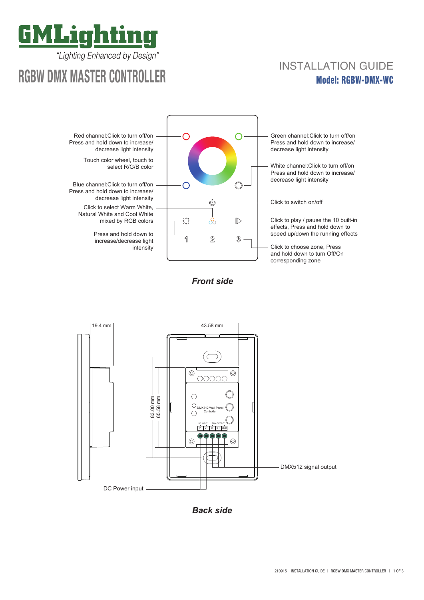

"Lighting Enhanced by Design"

# **RGBW DMX MASTER CONTROLLER**

## Model: RGBW-DMX-WC INSTALLATION GUIDE



*Front side*



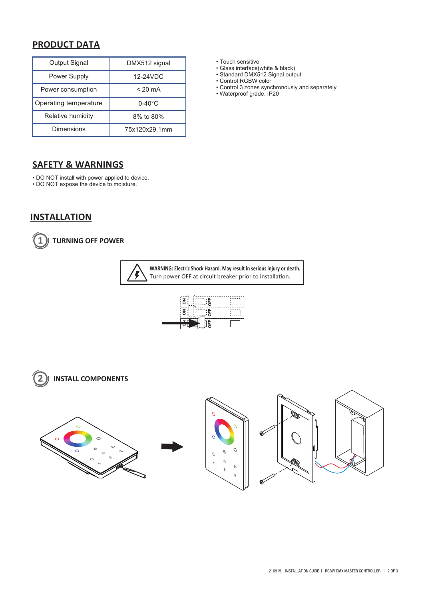### **PRODUCT DATA**

| Output Signal         | DMX512 signal     |
|-----------------------|-------------------|
| Power Supply          | 12-24VDC          |
| Power consumption     | $< 20 \text{ mA}$ |
| Operating temperature | $0-40^{\circ}$ C  |
| Relative humidity     | 8% to 80%         |
| <b>Dimensions</b>     | 75x120x29.1mm     |

#### **SAFETY & WARNINGS**

• DO NOT install with power applied to device.

• DO NOT expose the device to moisture.

**INSTALLATION**



**1 TURNING OFF POWER**

**WARNING: Electric Shock Hazard. May result in serious injury or death.** Ļ Turn power OFF at circuit breaker prior to installation.







• Touch sensitive

- Glass interface(white & black)
- Standard DMX512 Signal output

• Control RGBW color

- Control 3 zones synchronously and separately
- Waterproof grade: IP20